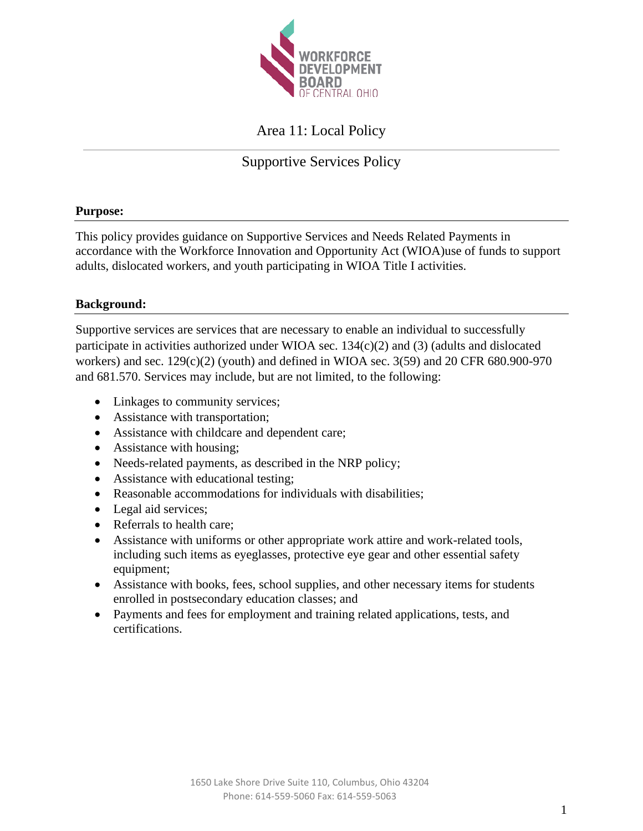

# Area 11: Local Policy

# Supportive Services Policy

## **Purpose:**

This policy provides guidance on Supportive Services and Needs Related Payments in accordance with the Workforce Innovation and Opportunity Act (WIOA)use of funds to support adults, dislocated workers, and youth participating in WIOA Title I activities.

### **Background:**

Supportive services are services that are necessary to enable an individual to successfully participate in activities authorized under WIOA sec. 134(c)(2) and (3) (adults and dislocated workers) and sec. 129(c)(2) (youth) and defined in WIOA sec. 3(59) and 20 CFR 680.900-970 and 681.570. Services may include, but are not limited, to the following:

- Linkages to community services;
- Assistance with transportation;
- Assistance with childcare and dependent care;
- Assistance with housing;
- Needs-related payments, as described in the NRP policy;
- Assistance with educational testing;
- Reasonable accommodations for individuals with disabilities;
- Legal aid services;
- Referrals to health care;
- Assistance with uniforms or other appropriate work attire and work-related tools, including such items as eyeglasses, protective eye gear and other essential safety equipment;
- Assistance with books, fees, school supplies, and other necessary items for students enrolled in postsecondary education classes; and
- Payments and fees for employment and training related applications, tests, and certifications.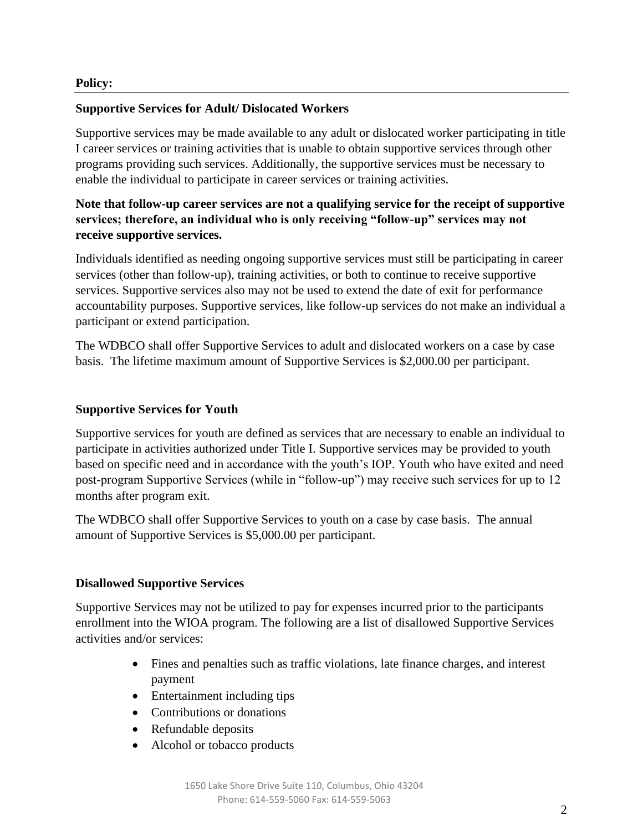### **Supportive Services for Adult/ Dislocated Workers**

Supportive services may be made available to any adult or dislocated worker participating in title I career services or training activities that is unable to obtain supportive services through other programs providing such services. Additionally, the supportive services must be necessary to enable the individual to participate in career services or training activities.

# **Note that follow-up career services are not a qualifying service for the receipt of supportive services; therefore, an individual who is only receiving "follow-up" services may not receive supportive services.**

Individuals identified as needing ongoing supportive services must still be participating in career services (other than follow-up), training activities, or both to continue to receive supportive services. Supportive services also may not be used to extend the date of exit for performance accountability purposes. Supportive services, like follow-up services do not make an individual a participant or extend participation.

The WDBCO shall offer Supportive Services to adult and dislocated workers on a case by case basis. The lifetime maximum amount of Supportive Services is \$2,000.00 per participant.

#### **Supportive Services for Youth**

Supportive services for youth are defined as services that are necessary to enable an individual to participate in activities authorized under Title I. Supportive services may be provided to youth based on specific need and in accordance with the youth's IOP. Youth who have exited and need post-program Supportive Services (while in "follow-up") may receive such services for up to 12 months after program exit.

The WDBCO shall offer Supportive Services to youth on a case by case basis. The annual amount of Supportive Services is \$5,000.00 per participant.

#### **Disallowed Supportive Services**

Supportive Services may not be utilized to pay for expenses incurred prior to the participants enrollment into the WIOA program. The following are a list of disallowed Supportive Services activities and/or services:

- Fines and penalties such as traffic violations, late finance charges, and interest payment
- Entertainment including tips
- Contributions or donations
- Refundable deposits
- Alcohol or tobacco products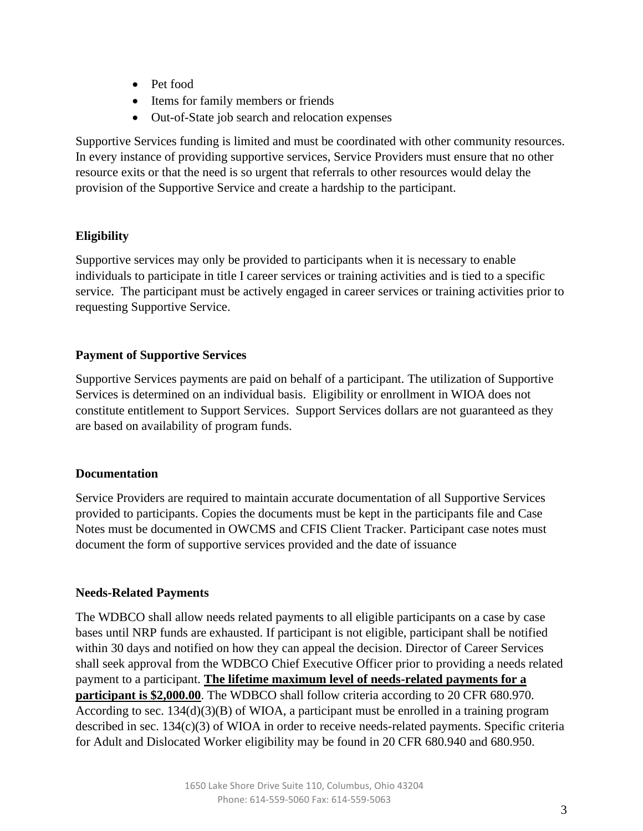- Pet food
- Items for family members or friends
- Out-of-State job search and relocation expenses

Supportive Services funding is limited and must be coordinated with other community resources. In every instance of providing supportive services, Service Providers must ensure that no other resource exits or that the need is so urgent that referrals to other resources would delay the provision of the Supportive Service and create a hardship to the participant.

# **Eligibility**

Supportive services may only be provided to participants when it is necessary to enable individuals to participate in title I career services or training activities and is tied to a specific service. The participant must be actively engaged in career services or training activities prior to requesting Supportive Service.

# **Payment of Supportive Services**

Supportive Services payments are paid on behalf of a participant. The utilization of Supportive Services is determined on an individual basis. Eligibility or enrollment in WIOA does not constitute entitlement to Support Services. Support Services dollars are not guaranteed as they are based on availability of program funds.

## **Documentation**

Service Providers are required to maintain accurate documentation of all Supportive Services provided to participants. Copies the documents must be kept in the participants file and Case Notes must be documented in OWCMS and CFIS Client Tracker. Participant case notes must document the form of supportive services provided and the date of issuance

## **Needs-Related Payments**

The WDBCO shall allow needs related payments to all eligible participants on a case by case bases until NRP funds are exhausted. If participant is not eligible, participant shall be notified within 30 days and notified on how they can appeal the decision. Director of Career Services shall seek approval from the WDBCO Chief Executive Officer prior to providing a needs related payment to a participant. **The lifetime maximum level of needs-related payments for a participant is \$2,000.00**. The WDBCO shall follow criteria according to 20 CFR 680.970. According to sec. 134(d)(3)(B) of WIOA, a participant must be enrolled in a training program described in sec. 134(c)(3) of WIOA in order to receive needs-related payments. Specific criteria for Adult and Dislocated Worker eligibility may be found in 20 CFR 680.940 and 680.950.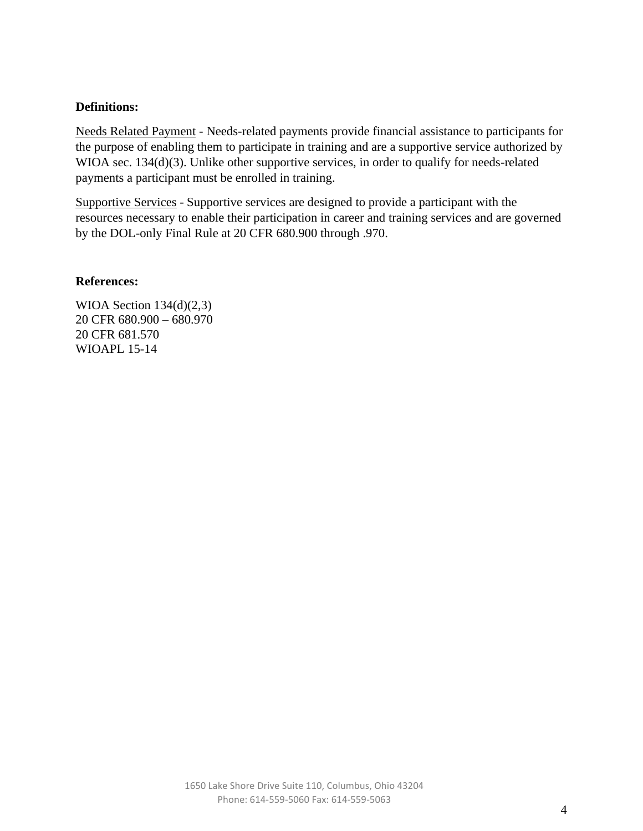### **Definitions:**

Needs Related Payment - Needs-related payments provide financial assistance to participants for the purpose of enabling them to participate in training and are a supportive service authorized by WIOA sec. 134(d)(3). Unlike other supportive services, in order to qualify for needs-related payments a participant must be enrolled in training.

Supportive Services - Supportive services are designed to provide a participant with the resources necessary to enable their participation in career and training services and are governed by the DOL-only Final Rule at 20 CFR 680.900 through .970.

#### **References:**

WIOA Section 134(d)(2,3) 20 CFR 680.900 – 680.970 20 CFR 681.570 WIOAPL 15-14